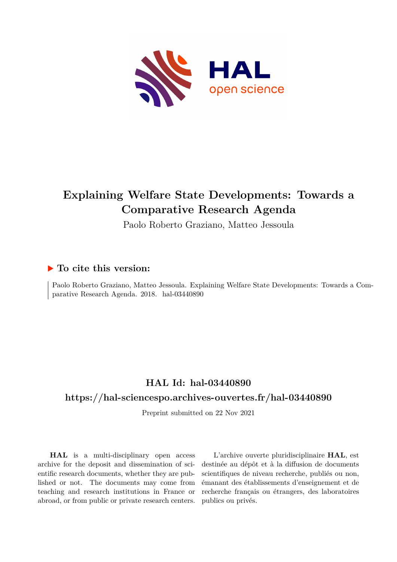

# **Explaining Welfare State Developments: Towards a Comparative Research Agenda**

Paolo Roberto Graziano, Matteo Jessoula

# **To cite this version:**

Paolo Roberto Graziano, Matteo Jessoula. Explaining Welfare State Developments: Towards a Comparative Research Agenda. 2018. hal-03440890

# **HAL Id: hal-03440890**

# **<https://hal-sciencespo.archives-ouvertes.fr/hal-03440890>**

Preprint submitted on 22 Nov 2021

**HAL** is a multi-disciplinary open access archive for the deposit and dissemination of scientific research documents, whether they are published or not. The documents may come from teaching and research institutions in France or abroad, or from public or private research centers.

L'archive ouverte pluridisciplinaire **HAL**, est destinée au dépôt et à la diffusion de documents scientifiques de niveau recherche, publiés ou non, émanant des établissements d'enseignement et de recherche français ou étrangers, des laboratoires publics ou privés.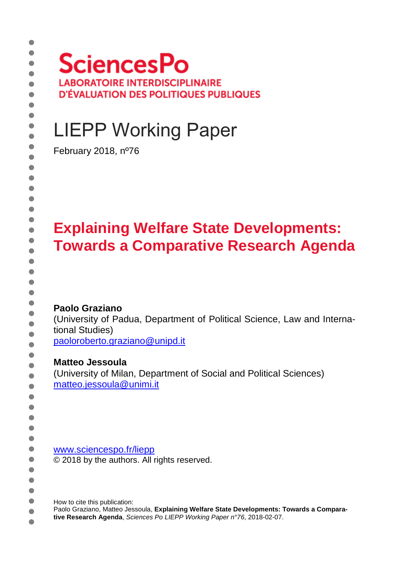# **SciencesPo LABORATOIRE INTERDISCIPLINAIRE D'ÉVALUATION DES POLITIQUES PUBLIQUES**

# LIEPP Working Paper

February 2018, nº76

# **Explaining Welfare State Developments: Towards a Comparative Research Agenda**

#### **Paolo Graziano**

(University of Padua, Department of Political Science, Law and International Studies)

[paoloroberto.graziano@unipd.it](mailto:paoloroberto.graziano@unipd.it)

#### **Matteo Jessoula**

(University of Milan, Department of Social and Political Sciences) matteo.jessoula@unimi.it

[www.sciencespo.fr/liepp](http://www.sciencespo.fr/liepp) © 2018 by the authors. All rights reserved.

How to cite this publication:  $\bullet$ 

Paolo Graziano, Matteo Jessoula, **Explaining Welfare State Developments: Towards a Compara-** $\bullet$ **tive Research Agenda**, *Sciences Po LIEPP Working Paper n°76*, 2018-02-07.

 $\bullet$  $\bullet$ 

 $\bullet$  $\bullet$ 

 $\bullet$ 

٠  $\bullet$  $\bullet$  $\bullet$  $\bullet$  $\bullet$  $\blacksquare$  $\bullet$ ă  $\bullet$ Ò  $\blacksquare$  $\bullet$  $\bullet$  $\bullet$ ă ۵  $\bullet$  $\bullet$  $\bullet$  $\bullet$  $\bullet$  $\bullet$  $\bullet$  $\bullet$  $\bullet$  $\bullet$  $\bullet$  $\bullet$  $\bullet$ ۵ Ò ٠  $\bullet$  $\bullet$ ٠  $\bullet$ ٠  $\bullet$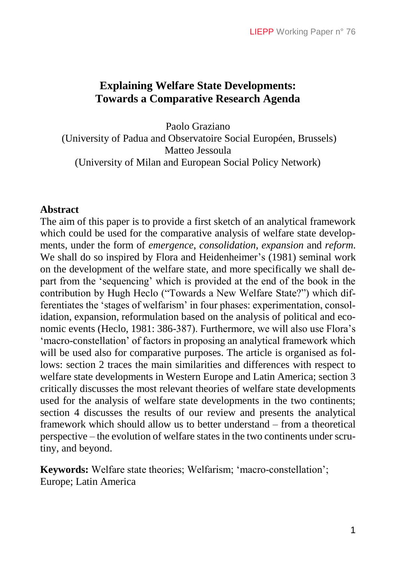## **Explaining Welfare State Developments: Towards a Comparative Research Agenda**

Paolo Graziano (University of Padua and Observatoire Social Européen, Brussels) Matteo Jessoula (University of Milan and European Social Policy Network)

#### **Abstract**

The aim of this paper is to provide a first sketch of an analytical framework which could be used for the comparative analysis of welfare state developments, under the form of *emergence*, *consolidation*, *expansion* and *reform*. We shall do so inspired by Flora and Heidenheimer's (1981) seminal work on the development of the welfare state, and more specifically we shall depart from the 'sequencing' which is provided at the end of the book in the contribution by Hugh Heclo ("Towards a New Welfare State?") which differentiates the 'stages of welfarism' in four phases: experimentation, consolidation, expansion, reformulation based on the analysis of political and economic events (Heclo, 1981: 386-387). Furthermore, we will also use Flora's 'macro-constellation' of factors in proposing an analytical framework which will be used also for comparative purposes. The article is organised as follows: section 2 traces the main similarities and differences with respect to welfare state developments in Western Europe and Latin America; section 3 critically discusses the most relevant theories of welfare state developments used for the analysis of welfare state developments in the two continents; section 4 discusses the results of our review and presents the analytical framework which should allow us to better understand – from a theoretical perspective – the evolution of welfare states in the two continents under scrutiny, and beyond.

**Keywords:** Welfare state theories; Welfarism; 'macro-constellation'; Europe; Latin America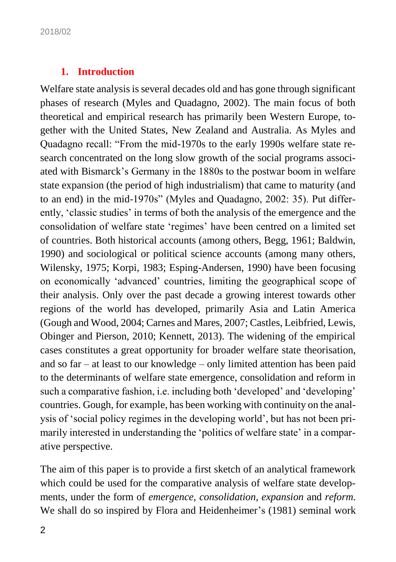#### **1. Introduction**

Welfare state analysis is several decades old and has gone through significant phases of research (Myles and Quadagno, 2002). The main focus of both theoretical and empirical research has primarily been Western Europe, together with the United States, New Zealand and Australia. As Myles and Quadagno recall: "From the mid-1970s to the early 1990s welfare state research concentrated on the long slow growth of the social programs associated with Bismarck's Germany in the 1880s to the postwar boom in welfare state expansion (the period of high industrialism) that came to maturity (and to an end) in the mid-1970s" (Myles and Quadagno, 2002: 35). Put differently, 'classic studies' in terms of both the analysis of the emergence and the consolidation of welfare state 'regimes' have been centred on a limited set of countries. Both historical accounts (among others, Begg, 1961; Baldwin, 1990) and sociological or political science accounts (among many others, Wilensky, 1975; Korpi, 1983; Esping-Andersen, 1990) have been focusing on economically 'advanced' countries, limiting the geographical scope of their analysis. Only over the past decade a growing interest towards other regions of the world has developed, primarily Asia and Latin America (Gough and Wood, 2004; Carnes and Mares, 2007; Castles, Leibfried, Lewis, Obinger and Pierson, 2010; Kennett, 2013). The widening of the empirical cases constitutes a great opportunity for broader welfare state theorisation, and so far – at least to our knowledge – only limited attention has been paid to the determinants of welfare state emergence, consolidation and reform in such a comparative fashion, i.e. including both 'developed' and 'developing' countries. Gough, for example, has been working with continuity on the analysis of 'social policy regimes in the developing world', but has not been primarily interested in understanding the 'politics of welfare state' in a comparative perspective.

The aim of this paper is to provide a first sketch of an analytical framework which could be used for the comparative analysis of welfare state developments, under the form of *emergence*, *consolidation*, *expansion* and *reform*. We shall do so inspired by Flora and Heidenheimer's (1981) seminal work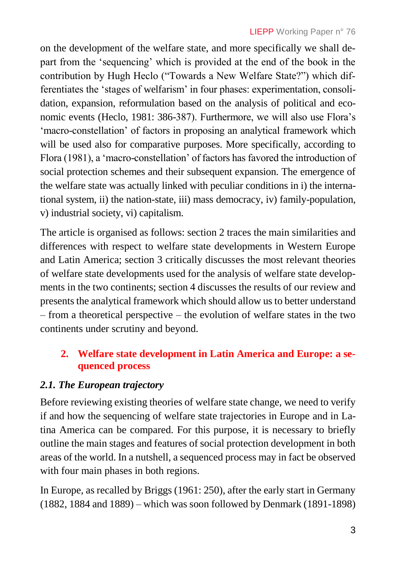on the development of the welfare state, and more specifically we shall depart from the 'sequencing' which is provided at the end of the book in the contribution by Hugh Heclo ("Towards a New Welfare State?") which differentiates the 'stages of welfarism' in four phases: experimentation, consolidation, expansion, reformulation based on the analysis of political and economic events (Heclo, 1981: 386-387). Furthermore, we will also use Flora's 'macro-constellation' of factors in proposing an analytical framework which will be used also for comparative purposes. More specifically, according to Flora (1981), a 'macro-constellation' of factors has favored the introduction of social protection schemes and their subsequent expansion. The emergence of the welfare state was actually linked with peculiar conditions in i) the international system, ii) the nation-state, iii) mass democracy, iv) family-population, v) industrial society, vi) capitalism.

The article is organised as follows: section 2 traces the main similarities and differences with respect to welfare state developments in Western Europe and Latin America; section 3 critically discusses the most relevant theories of welfare state developments used for the analysis of welfare state developments in the two continents; section 4 discusses the results of our review and presents the analytical framework which should allow us to better understand – from a theoretical perspective – the evolution of welfare states in the two continents under scrutiny and beyond.

# **2. Welfare state development in Latin America and Europe: a sequenced process**

# *2.1. The European trajectory*

Before reviewing existing theories of welfare state change, we need to verify if and how the sequencing of welfare state trajectories in Europe and in Latina America can be compared. For this purpose, it is necessary to briefly outline the main stages and features of social protection development in both areas of the world. In a nutshell, a sequenced process may in fact be observed with four main phases in both regions.

In Europe, as recalled by Briggs (1961: 250), after the early start in Germany (1882, 1884 and 1889) – which was soon followed by Denmark (1891-1898)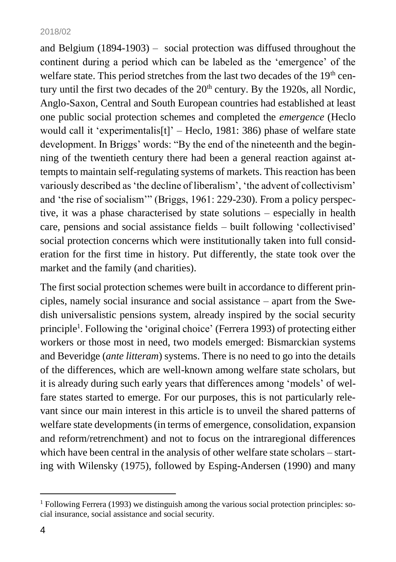and Belgium (1894-1903) – social protection was diffused throughout the continent during a period which can be labeled as the 'emergence' of the welfare state. This period stretches from the last two decades of the 19<sup>th</sup> century until the first two decades of the  $20<sup>th</sup>$  century. By the 1920s, all Nordic, Anglo-Saxon, Central and South European countries had established at least one public social protection schemes and completed the *emergence* (Heclo would call it 'experimentalis<sup>[t]</sup>' – Heclo, 1981: 386) phase of welfare state development. In Briggs' words: "By the end of the nineteenth and the beginning of the twentieth century there had been a general reaction against attempts to maintain self-regulating systems of markets. This reaction has been variously described as 'the decline of liberalism', 'the advent of collectivism' and 'the rise of socialism'" (Briggs, 1961: 229-230). From a policy perspective, it was a phase characterised by state solutions – especially in health care, pensions and social assistance fields – built following 'collectivised' social protection concerns which were institutionally taken into full consideration for the first time in history. Put differently, the state took over the market and the family (and charities).

The first social protection schemes were built in accordance to different principles, namely social insurance and social assistance – apart from the Swedish universalistic pensions system, already inspired by the social security principle<sup>1</sup>. Following the 'original choice' (Ferrera 1993) of protecting either workers or those most in need, two models emerged: Bismarckian systems and Beveridge (*ante litteram*) systems. There is no need to go into the details of the differences, which are well-known among welfare state scholars, but it is already during such early years that differences among 'models' of welfare states started to emerge. For our purposes, this is not particularly relevant since our main interest in this article is to unveil the shared patterns of welfare state developments (in terms of emergence, consolidation, expansion and reform/retrenchment) and not to focus on the intraregional differences which have been central in the analysis of other welfare state scholars – starting with Wilensky (1975), followed by Esping-Andersen (1990) and many

 $1$  Following Ferrera (1993) we distinguish among the various social protection principles: social insurance, social assistance and social security.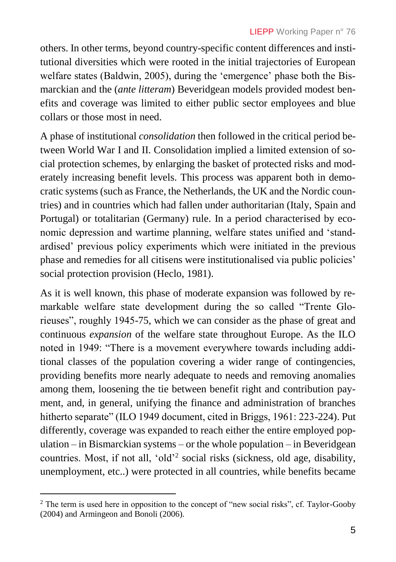others. In other terms, beyond country-specific content differences and institutional diversities which were rooted in the initial trajectories of European welfare states (Baldwin, 2005), during the 'emergence' phase both the Bismarckian and the (*ante litteram*) Beveridgean models provided modest benefits and coverage was limited to either public sector employees and blue collars or those most in need.

A phase of institutional *consolidation* then followed in the critical period between World War I and II. Consolidation implied a limited extension of social protection schemes, by enlarging the basket of protected risks and moderately increasing benefit levels. This process was apparent both in democratic systems (such as France, the Netherlands, the UK and the Nordic countries) and in countries which had fallen under authoritarian (Italy, Spain and Portugal) or totalitarian (Germany) rule. In a period characterised by economic depression and wartime planning, welfare states unified and 'standardised' previous policy experiments which were initiated in the previous phase and remedies for all citisens were institutionalised via public policies' social protection provision (Heclo, 1981).

As it is well known, this phase of moderate expansion was followed by remarkable welfare state development during the so called "Trente Glorieuses", roughly 1945-75, which we can consider as the phase of great and continuous *expansion* of the welfare state throughout Europe. As the ILO noted in 1949: "There is a movement everywhere towards including additional classes of the population covering a wider range of contingencies, providing benefits more nearly adequate to needs and removing anomalies among them, loosening the tie between benefit right and contribution payment, and, in general, unifying the finance and administration of branches hitherto separate" (ILO 1949 document, cited in Briggs, 1961: 223-224). Put differently, coverage was expanded to reach either the entire employed population – in Bismarckian systems – or the whole population – in Beveridgean countries. Most, if not all, 'old'<sup>2</sup> social risks (sickness, old age, disability, unemployment, etc..) were protected in all countries, while benefits became

<sup>&</sup>lt;sup>2</sup> The term is used here in opposition to the concept of "new social risks", cf. Taylor-Gooby (2004) and Armingeon and Bonoli (2006).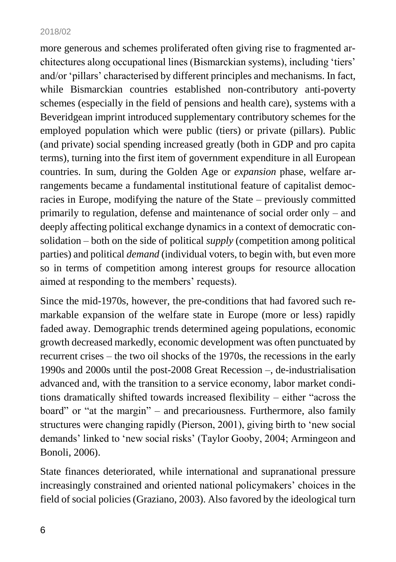more generous and schemes proliferated often giving rise to fragmented architectures along occupational lines (Bismarckian systems), including 'tiers' and/or 'pillars' characterised by different principles and mechanisms. In fact, while Bismarckian countries established non-contributory anti-poverty schemes (especially in the field of pensions and health care), systems with a Beveridgean imprint introduced supplementary contributory schemes for the employed population which were public (tiers) or private (pillars). Public (and private) social spending increased greatly (both in GDP and pro capita terms), turning into the first item of government expenditure in all European countries. In sum, during the Golden Age or *expansion* phase, welfare arrangements became a fundamental institutional feature of capitalist democracies in Europe, modifying the nature of the State – previously committed primarily to regulation, defense and maintenance of social order only – and deeply affecting political exchange dynamics in a context of democratic consolidation – both on the side of political *supply* (competition among political parties) and political *demand* (individual voters, to begin with, but even more so in terms of competition among interest groups for resource allocation aimed at responding to the members' requests).

Since the mid-1970s, however, the pre-conditions that had favored such remarkable expansion of the welfare state in Europe (more or less) rapidly faded away. Demographic trends determined ageing populations, economic growth decreased markedly, economic development was often punctuated by recurrent crises – the two oil shocks of the 1970s, the recessions in the early 1990s and 2000s until the post-2008 Great Recession –, de-industrialisation advanced and, with the transition to a service economy, labor market conditions dramatically shifted towards increased flexibility – either "across the board" or "at the margin" – and precariousness. Furthermore, also family structures were changing rapidly (Pierson, 2001), giving birth to 'new social demands' linked to 'new social risks' (Taylor Gooby, 2004; Armingeon and Bonoli, 2006).

State finances deteriorated, while international and supranational pressure increasingly constrained and oriented national policymakers' choices in the field of social policies (Graziano, 2003). Also favored by the ideological turn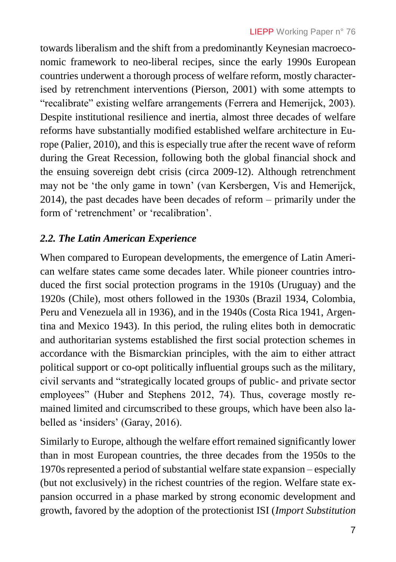towards liberalism and the shift from a predominantly Keynesian macroeconomic framework to neo-liberal recipes, since the early 1990s European countries underwent a thorough process of welfare reform, mostly characterised by retrenchment interventions (Pierson, 2001) with some attempts to "recalibrate" existing welfare arrangements (Ferrera and Hemerijck, 2003). Despite institutional resilience and inertia, almost three decades of welfare reforms have substantially modified established welfare architecture in Europe (Palier, 2010), and this is especially true after the recent wave of reform during the Great Recession, following both the global financial shock and the ensuing sovereign debt crisis (circa 2009-12). Although retrenchment may not be 'the only game in town' (van Kersbergen, Vis and Hemerijck, 2014), the past decades have been decades of reform – primarily under the form of 'retrenchment' or 'recalibration'.

# *2.2. The Latin American Experience*

When compared to European developments, the emergence of Latin American welfare states came some decades later. While pioneer countries introduced the first social protection programs in the 1910s (Uruguay) and the 1920s (Chile), most others followed in the 1930s (Brazil 1934, Colombia, Peru and Venezuela all in 1936), and in the 1940s (Costa Rica 1941, Argentina and Mexico 1943). In this period, the ruling elites both in democratic and authoritarian systems established the first social protection schemes in accordance with the Bismarckian principles, with the aim to either attract political support or co-opt politically influential groups such as the military, civil servants and "strategically located groups of public- and private sector employees" (Huber and Stephens 2012, 74). Thus, coverage mostly remained limited and circumscribed to these groups, which have been also labelled as 'insiders' (Garay, 2016).

Similarly to Europe, although the welfare effort remained significantly lower than in most European countries, the three decades from the 1950s to the 1970s represented a period of substantial welfare state expansion – especially (but not exclusively) in the richest countries of the region. Welfare state expansion occurred in a phase marked by strong economic development and growth, favored by the adoption of the protectionist ISI (*Import Substitution*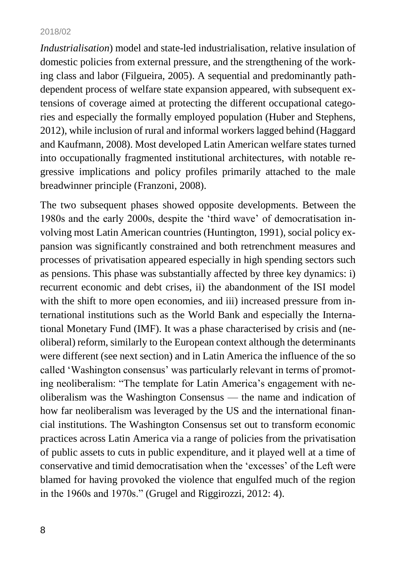*Industrialisation*) model and state-led industrialisation, relative insulation of domestic policies from external pressure, and the strengthening of the working class and labor (Filgueira, 2005). A sequential and predominantly pathdependent process of welfare state expansion appeared, with subsequent extensions of coverage aimed at protecting the different occupational categories and especially the formally employed population (Huber and Stephens, 2012), while inclusion of rural and informal workers lagged behind (Haggard and Kaufmann, 2008). Most developed Latin American welfare states turned into occupationally fragmented institutional architectures, with notable regressive implications and policy profiles primarily attached to the male breadwinner principle (Franzoni, 2008).

The two subsequent phases showed opposite developments. Between the 1980s and the early 2000s, despite the 'third wave' of democratisation involving most Latin American countries (Huntington, 1991), social policy expansion was significantly constrained and both retrenchment measures and processes of privatisation appeared especially in high spending sectors such as pensions. This phase was substantially affected by three key dynamics: i) recurrent economic and debt crises, ii) the abandonment of the ISI model with the shift to more open economies, and iii) increased pressure from international institutions such as the World Bank and especially the International Monetary Fund (IMF). It was a phase characterised by crisis and (neoliberal) reform, similarly to the European context although the determinants were different (see next section) and in Latin America the influence of the so called 'Washington consensus' was particularly relevant in terms of promoting neoliberalism: "The template for Latin America's engagement with neoliberalism was the Washington Consensus — the name and indication of how far neoliberalism was leveraged by the US and the international financial institutions. The Washington Consensus set out to transform economic practices across Latin America via a range of policies from the privatisation of public assets to cuts in public expenditure, and it played well at a time of conservative and timid democratisation when the 'excesses' of the Left were blamed for having provoked the violence that engulfed much of the region in the 1960s and 1970s." (Grugel and Riggirozzi, 2012: 4).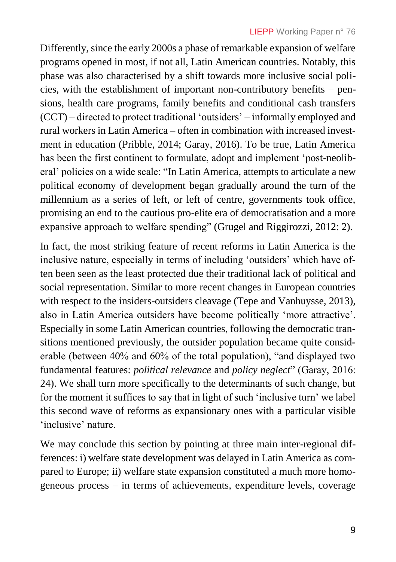Differently, since the early 2000s a phase of remarkable expansion of welfare programs opened in most, if not all, Latin American countries. Notably, this phase was also characterised by a shift towards more inclusive social policies, with the establishment of important non-contributory benefits – pensions, health care programs, family benefits and conditional cash transfers (CCT) – directed to protect traditional 'outsiders' – informally employed and rural workers in Latin America – often in combination with increased investment in education (Pribble, 2014; Garay, 2016). To be true, Latin America has been the first continent to formulate, adopt and implement 'post-neoliberal' policies on a wide scale: "In Latin America, attempts to articulate a new political economy of development began gradually around the turn of the millennium as a series of left, or left of centre, governments took office, promising an end to the cautious pro-elite era of democratisation and a more expansive approach to welfare spending" (Grugel and Riggirozzi, 2012: 2).

In fact, the most striking feature of recent reforms in Latin America is the inclusive nature, especially in terms of including 'outsiders' which have often been seen as the least protected due their traditional lack of political and social representation. Similar to more recent changes in European countries with respect to the insiders-outsiders cleavage (Tepe and Vanhuysse, 2013), also in Latin America outsiders have become politically 'more attractive'. Especially in some Latin American countries, following the democratic transitions mentioned previously, the outsider population became quite considerable (between 40% and 60% of the total population), "and displayed two fundamental features: *political relevance* and *policy neglect*" (Garay, 2016: 24). We shall turn more specifically to the determinants of such change, but for the moment it suffices to say that in light of such 'inclusive turn' we label this second wave of reforms as expansionary ones with a particular visible 'inclusive' nature.

We may conclude this section by pointing at three main inter-regional differences: i) welfare state development was delayed in Latin America as compared to Europe; ii) welfare state expansion constituted a much more homogeneous process – in terms of achievements, expenditure levels, coverage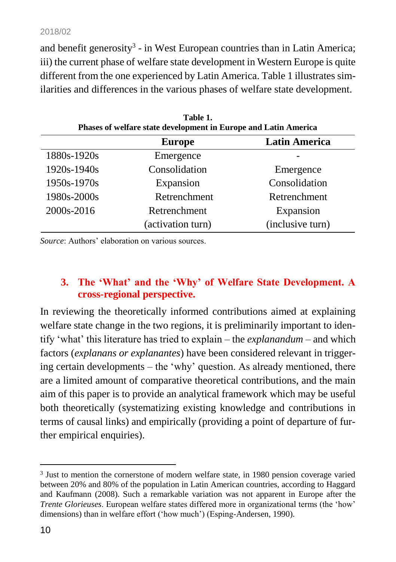and benefit generosity<sup>3</sup> - in West European countries than in Latin America; iii) the current phase of welfare state development in Western Europe is quite different from the one experienced by Latin America. Table 1 illustrates similarities and differences in the various phases of welfare state development.

**Table 1.** 

| таніст.<br>Phases of welfare state development in Europe and Latin America |                   |                      |  |  |
|----------------------------------------------------------------------------|-------------------|----------------------|--|--|
|                                                                            | <b>Europe</b>     | <b>Latin America</b> |  |  |
| 1880s-1920s                                                                | Emergence         |                      |  |  |
| 1920s-1940s                                                                | Consolidation     | Emergence            |  |  |
| 1950s-1970s                                                                | Expansion         | Consolidation        |  |  |
| 1980s-2000s                                                                | Retrenchment      | Retrenchment         |  |  |
| 2000s-2016                                                                 | Retrenchment      | Expansion            |  |  |
|                                                                            | (activation turn) | (inclusive turn)     |  |  |

*Source*: Authors' elaboration on various sources.

### **3. The 'What' and the 'Why' of Welfare State Development. A cross-regional perspective.**

In reviewing the theoretically informed contributions aimed at explaining welfare state change in the two regions, it is preliminarily important to identify 'what' this literature has tried to explain – the *explanandum* – and which factors (*explanans or explanantes*) have been considered relevant in triggering certain developments – the 'why' question. As already mentioned, there are a limited amount of comparative theoretical contributions, and the main aim of this paper is to provide an analytical framework which may be useful both theoretically (systematizing existing knowledge and contributions in terms of causal links) and empirically (providing a point of departure of further empirical enquiries).

<sup>&</sup>lt;sup>3</sup> Just to mention the cornerstone of modern welfare state, in 1980 pension coverage varied between 20% and 80% of the population in Latin American countries, according to Haggard and Kaufmann (2008). Such a remarkable variation was not apparent in Europe after the *Trente Glorieuses*. European welfare states differed more in organizational terms (the 'how' dimensions) than in welfare effort ('how much') (Esping-Andersen, 1990).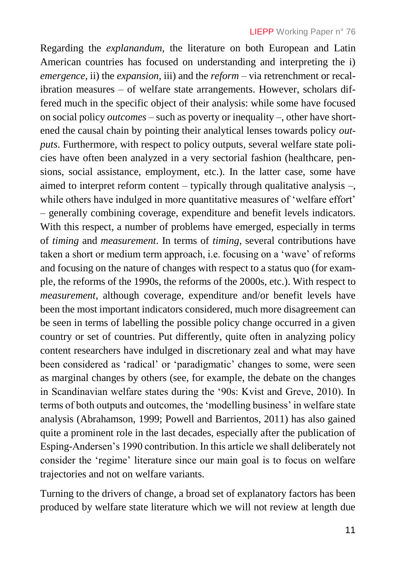Regarding the *explanandum*, the literature on both European and Latin American countries has focused on understanding and interpreting the i) *emergence*, ii) the *expansion*, iii) and the *reform* – via retrenchment or recalibration measures – of welfare state arrangements. However, scholars differed much in the specific object of their analysis: while some have focused on social policy *outcomes* – such as poverty or inequality –, other have shortened the causal chain by pointing their analytical lenses towards policy *outputs*. Furthermore, with respect to policy outputs, several welfare state policies have often been analyzed in a very sectorial fashion (healthcare, pensions, social assistance, employment, etc.). In the latter case, some have aimed to interpret reform content – typically through qualitative analysis –, while others have indulged in more quantitative measures of 'welfare effort' – generally combining coverage, expenditure and benefit levels indicators. With this respect, a number of problems have emerged, especially in terms of *timing* and *measurement*. In terms of *timing*, several contributions have taken a short or medium term approach, i.e. focusing on a 'wave' of reforms and focusing on the nature of changes with respect to a status quo (for example, the reforms of the 1990s, the reforms of the 2000s, etc.). With respect to *measurement*, although coverage, expenditure and/or benefit levels have been the most important indicators considered, much more disagreement can be seen in terms of labelling the possible policy change occurred in a given country or set of countries. Put differently, quite often in analyzing policy content researchers have indulged in discretionary zeal and what may have been considered as 'radical' or 'paradigmatic' changes to some, were seen as marginal changes by others (see, for example, the debate on the changes in Scandinavian welfare states during the '90s: Kvist and Greve, 2010). In terms of both outputs and outcomes, the 'modelling business' in welfare state analysis (Abrahamson, 1999; Powell and Barrientos, 2011) has also gained quite a prominent role in the last decades, especially after the publication of Esping-Andersen's 1990 contribution. In this article we shall deliberately not consider the 'regime' literature since our main goal is to focus on welfare trajectories and not on welfare variants.

Turning to the drivers of change, a broad set of explanatory factors has been produced by welfare state literature which we will not review at length due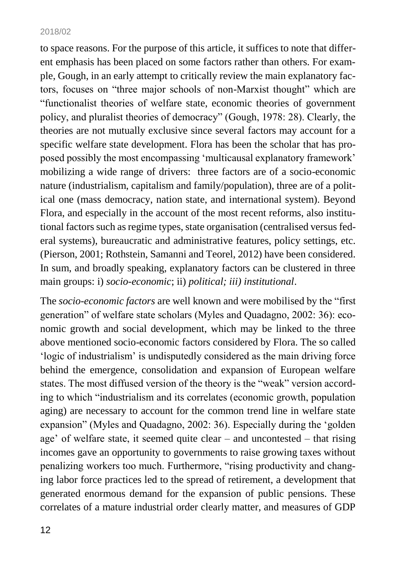to space reasons. For the purpose of this article, it suffices to note that different emphasis has been placed on some factors rather than others. For example, Gough, in an early attempt to critically review the main explanatory factors, focuses on "three major schools of non-Marxist thought" which are "functionalist theories of welfare state, economic theories of government policy, and pluralist theories of democracy" (Gough, 1978: 28). Clearly, the theories are not mutually exclusive since several factors may account for a specific welfare state development. Flora has been the scholar that has proposed possibly the most encompassing 'multicausal explanatory framework' mobilizing a wide range of drivers: three factors are of a socio-economic nature (industrialism, capitalism and family/population), three are of a political one (mass democracy, nation state, and international system). Beyond Flora, and especially in the account of the most recent reforms, also institutional factors such as regime types, state organisation (centralised versus federal systems), bureaucratic and administrative features, policy settings, etc. (Pierson, 2001; Rothstein, Samanni and Teorel, 2012) have been considered. In sum, and broadly speaking, explanatory factors can be clustered in three main groups: i) *socio-economic*; ii) *political; iii) institutional*.

The *socio-economic factors* are well known and were mobilised by the "first generation" of welfare state scholars (Myles and Quadagno, 2002: 36): economic growth and social development, which may be linked to the three above mentioned socio-economic factors considered by Flora. The so called 'logic of industrialism' is undisputedly considered as the main driving force behind the emergence, consolidation and expansion of European welfare states. The most diffused version of the theory is the "weak" version according to which "industrialism and its correlates (economic growth, population aging) are necessary to account for the common trend line in welfare state expansion" (Myles and Quadagno, 2002: 36). Especially during the 'golden age' of welfare state, it seemed quite clear – and uncontested – that rising incomes gave an opportunity to governments to raise growing taxes without penalizing workers too much. Furthermore, "rising productivity and changing labor force practices led to the spread of retirement, a development that generated enormous demand for the expansion of public pensions. These correlates of a mature industrial order clearly matter, and measures of GDP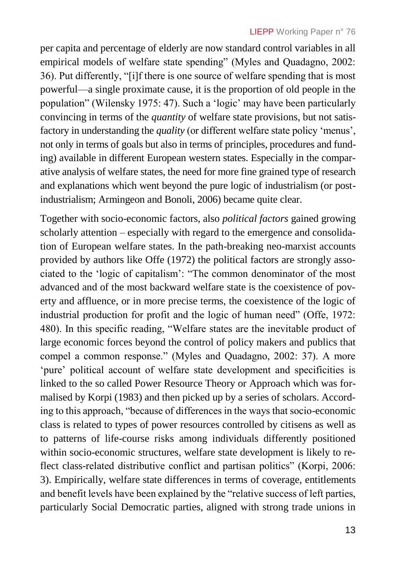per capita and percentage of elderly are now standard control variables in all empirical models of welfare state spending" (Myles and Quadagno, 2002: 36). Put differently, "[i]f there is one source of welfare spending that is most powerful—a single proximate cause, it is the proportion of old people in the population" (Wilensky 1975: 47). Such a 'logic' may have been particularly convincing in terms of the *quantity* of welfare state provisions, but not satisfactory in understanding the *quality* (or different welfare state policy 'menus', not only in terms of goals but also in terms of principles, procedures and funding) available in different European western states. Especially in the comparative analysis of welfare states, the need for more fine grained type of research and explanations which went beyond the pure logic of industrialism (or postindustrialism; Armingeon and Bonoli, 2006) became quite clear.

Together with socio-economic factors, also *political factors* gained growing scholarly attention – especially with regard to the emergence and consolidation of European welfare states. In the path-breaking neo-marxist accounts provided by authors like Offe (1972) the political factors are strongly associated to the 'logic of capitalism': "The common denominator of the most advanced and of the most backward welfare state is the coexistence of poverty and affluence, or in more precise terms, the coexistence of the logic of industrial production for profit and the logic of human need" (Offe, 1972: 480). In this specific reading, "Welfare states are the inevitable product of large economic forces beyond the control of policy makers and publics that compel a common response." (Myles and Quadagno, 2002: 37). A more 'pure' political account of welfare state development and specificities is linked to the so called Power Resource Theory or Approach which was formalised by Korpi (1983) and then picked up by a series of scholars. According to this approach, "because of differences in the ways that socio-economic class is related to types of power resources controlled by citisens as well as to patterns of life-course risks among individuals differently positioned within socio-economic structures, welfare state development is likely to reflect class-related distributive conflict and partisan politics" (Korpi, 2006: 3). Empirically, welfare state differences in terms of coverage, entitlements and benefit levels have been explained by the "relative success of left parties, particularly Social Democratic parties, aligned with strong trade unions in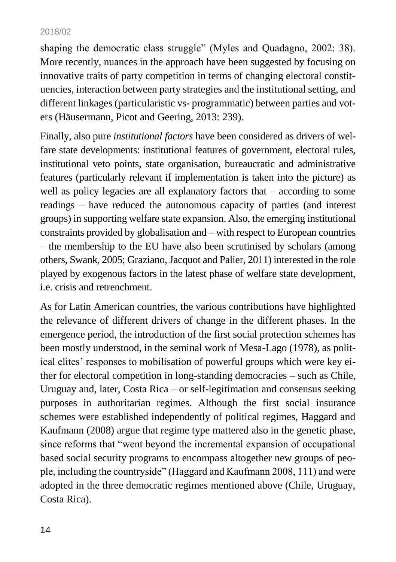shaping the democratic class struggle" (Myles and Quadagno, 2002: 38). More recently, nuances in the approach have been suggested by focusing on innovative traits of party competition in terms of changing electoral constituencies, interaction between party strategies and the institutional setting, and different linkages (particularistic vs- programmatic) between parties and voters (Häusermann, Picot and Geering, 2013: 239).

Finally, also pure *institutional factors* have been considered as drivers of welfare state developments: institutional features of government, electoral rules, institutional veto points, state organisation, bureaucratic and administrative features (particularly relevant if implementation is taken into the picture) as well as policy legacies are all explanatory factors that – according to some readings – have reduced the autonomous capacity of parties (and interest groups) in supporting welfare state expansion. Also, the emerging institutional constraints provided by globalisation and – with respect to European countries – the membership to the EU have also been scrutinised by scholars (among others, Swank, 2005; Graziano, Jacquot and Palier, 2011) interested in the role played by exogenous factors in the latest phase of welfare state development, i.e. crisis and retrenchment.

As for Latin American countries, the various contributions have highlighted the relevance of different drivers of change in the different phases. In the emergence period, the introduction of the first social protection schemes has been mostly understood, in the seminal work of Mesa-Lago (1978), as political elites' responses to mobilisation of powerful groups which were key either for electoral competition in long-standing democracies – such as Chile, Uruguay and, later, Costa Rica – or self-legitimation and consensus seeking purposes in authoritarian regimes. Although the first social insurance schemes were established independently of political regimes, Haggard and Kaufmann (2008) argue that regime type mattered also in the genetic phase, since reforms that "went beyond the incremental expansion of occupational based social security programs to encompass altogether new groups of people, including the countryside" (Haggard and Kaufmann 2008, 111) and were adopted in the three democratic regimes mentioned above (Chile, Uruguay, Costa Rica).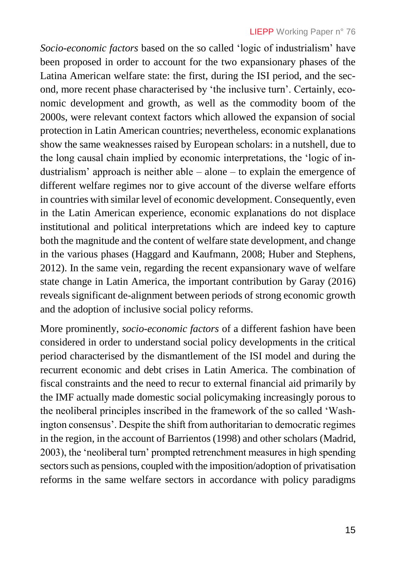*Socio-economic factors* based on the so called 'logic of industrialism' have been proposed in order to account for the two expansionary phases of the Latina American welfare state: the first, during the ISI period, and the second, more recent phase characterised by 'the inclusive turn'. Certainly, economic development and growth, as well as the commodity boom of the 2000s, were relevant context factors which allowed the expansion of social protection in Latin American countries; nevertheless, economic explanations show the same weaknesses raised by European scholars: in a nutshell, due to the long causal chain implied by economic interpretations, the 'logic of industrialism' approach is neither able – alone – to explain the emergence of different welfare regimes nor to give account of the diverse welfare efforts in countries with similar level of economic development. Consequently, even in the Latin American experience, economic explanations do not displace institutional and political interpretations which are indeed key to capture both the magnitude and the content of welfare state development, and change in the various phases (Haggard and Kaufmann, 2008; Huber and Stephens, 2012). In the same vein, regarding the recent expansionary wave of welfare state change in Latin America, the important contribution by Garay (2016) reveals significant de-alignment between periods of strong economic growth and the adoption of inclusive social policy reforms.

More prominently, *socio-economic factors* of a different fashion have been considered in order to understand social policy developments in the critical period characterised by the dismantlement of the ISI model and during the recurrent economic and debt crises in Latin America. The combination of fiscal constraints and the need to recur to external financial aid primarily by the IMF actually made domestic social policymaking increasingly porous to the neoliberal principles inscribed in the framework of the so called 'Washington consensus'. Despite the shift from authoritarian to democratic regimes in the region, in the account of Barrientos (1998) and other scholars (Madrid, 2003), the 'neoliberal turn' prompted retrenchment measures in high spending sectors such as pensions, coupled with the imposition/adoption of privatisation reforms in the same welfare sectors in accordance with policy paradigms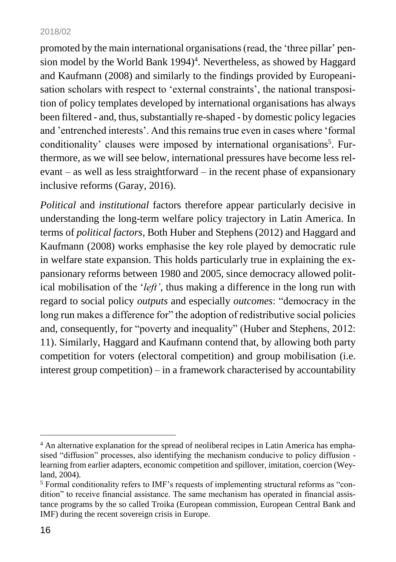promoted by the main international organisations (read, the 'three pillar' pension model by the World Bank 1994)<sup>4</sup>. Nevertheless, as showed by Haggard and Kaufmann (2008) and similarly to the findings provided by Europeanisation scholars with respect to 'external constraints', the national transposition of policy templates developed by international organisations has always been filtered - and, thus, substantially re-shaped - by domestic policy legacies and 'entrenched interests'. And this remains true even in cases where 'formal conditionality' clauses were imposed by international organisations<sup>5</sup>. Furthermore, as we will see below, international pressures have become less relevant – as well as less straightforward – in the recent phase of expansionary inclusive reforms (Garay, 2016).

*Political* and *institutional* factors therefore appear particularly decisive in understanding the long-term welfare policy trajectory in Latin America. In terms of *political factors*, Both Huber and Stephens (2012) and Haggard and Kaufmann (2008) works emphasise the key role played by democratic rule in welfare state expansion. This holds particularly true in explaining the expansionary reforms between 1980 and 2005, since democracy allowed political mobilisation of the '*left'*, thus making a difference in the long run with regard to social policy *outputs* and especially *outcomes*: "democracy in the long run makes a difference for" the adoption of redistributive social policies and, consequently, for "poverty and inequality" (Huber and Stephens, 2012: 11). Similarly, Haggard and Kaufmann contend that, by allowing both party competition for voters (electoral competition) and group mobilisation (i.e. interest group competition) – in a framework characterised by accountability

<sup>&</sup>lt;sup>4</sup> An alternative explanation for the spread of neoliberal recipes in Latin America has emphasised "diffusion" processes, also identifying the mechanism conducive to policy diffusion learning from earlier adapters, economic competition and spillover, imitation, coercion (Weyland, 2004).

<sup>&</sup>lt;sup>5</sup> Formal conditionality refers to IMF's requests of implementing structural reforms as "condition" to receive financial assistance. The same mechanism has operated in financial assistance programs by the so called Troika (European commission, European Central Bank and IMF) during the recent sovereign crisis in Europe.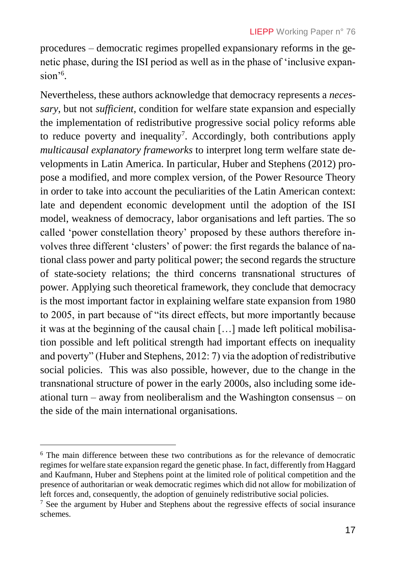procedures – democratic regimes propelled expansionary reforms in the genetic phase, during the ISI period as well as in the phase of 'inclusive expansion<sup>'6</sup>.

Nevertheless, these authors acknowledge that democracy represents a *necessary*, but not *sufficient*, condition for welfare state expansion and especially the implementation of redistributive progressive social policy reforms able to reduce poverty and inequality<sup>7</sup>. Accordingly, both contributions apply *multicausal explanatory frameworks* to interpret long term welfare state developments in Latin America. In particular, Huber and Stephens (2012) propose a modified, and more complex version, of the Power Resource Theory in order to take into account the peculiarities of the Latin American context: late and dependent economic development until the adoption of the ISI model, weakness of democracy, labor organisations and left parties. The so called 'power constellation theory' proposed by these authors therefore involves three different 'clusters' of power: the first regards the balance of national class power and party political power; the second regards the structure of state-society relations; the third concerns transnational structures of power. Applying such theoretical framework, they conclude that democracy is the most important factor in explaining welfare state expansion from 1980 to 2005, in part because of "its direct effects, but more importantly because it was at the beginning of the causal chain […] made left political mobilisation possible and left political strength had important effects on inequality and poverty" (Huber and Stephens, 2012: 7) via the adoption of redistributive social policies. This was also possible, however, due to the change in the transnational structure of power in the early 2000s, also including some ideational turn – away from neoliberalism and the Washington consensus – on the side of the main international organisations.

<sup>6</sup> The main difference between these two contributions as for the relevance of democratic regimes for welfare state expansion regard the genetic phase. In fact, differently from Haggard and Kaufmann, Huber and Stephens point at the limited role of political competition and the presence of authoritarian or weak democratic regimes which did not allow for mobilization of left forces and, consequently, the adoption of genuinely redistributive social policies.

<sup>&</sup>lt;sup>7</sup> See the argument by Huber and Stephens about the regressive effects of social insurance schemes.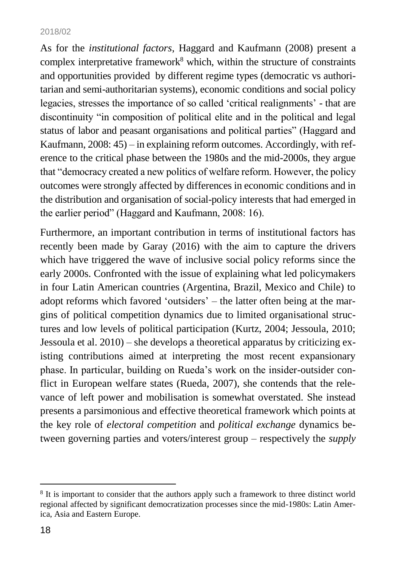As for the *institutional factors*, Haggard and Kaufmann (2008) present a complex interpretative framework<sup>8</sup> which, within the structure of constraints and opportunities provided by different regime types (democratic vs authoritarian and semi-authoritarian systems), economic conditions and social policy legacies, stresses the importance of so called 'critical realignments' - that are discontinuity "in composition of political elite and in the political and legal status of labor and peasant organisations and political parties" (Haggard and Kaufmann, 2008: 45) – in explaining reform outcomes. Accordingly, with reference to the critical phase between the 1980s and the mid-2000s, they argue that "democracy created a new politics of welfare reform. However, the policy outcomes were strongly affected by differences in economic conditions and in the distribution and organisation of social-policy interests that had emerged in the earlier period" (Haggard and Kaufmann, 2008: 16).

Furthermore, an important contribution in terms of institutional factors has recently been made by Garay (2016) with the aim to capture the drivers which have triggered the wave of inclusive social policy reforms since the early 2000s. Confronted with the issue of explaining what led policymakers in four Latin American countries (Argentina, Brazil, Mexico and Chile) to adopt reforms which favored 'outsiders' – the latter often being at the margins of political competition dynamics due to limited organisational structures and low levels of political participation (Kurtz, 2004; Jessoula, 2010; Jessoula et al. 2010) – she develops a theoretical apparatus by criticizing existing contributions aimed at interpreting the most recent expansionary phase. In particular, building on Rueda's work on the insider-outsider conflict in European welfare states (Rueda, 2007), she contends that the relevance of left power and mobilisation is somewhat overstated. She instead presents a parsimonious and effective theoretical framework which points at the key role of *electoral competition* and *political exchange* dynamics between governing parties and voters/interest group – respectively the *supply*

<sup>&</sup>lt;sup>8</sup> It is important to consider that the authors apply such a framework to three distinct world regional affected by significant democratization processes since the mid-1980s: Latin America, Asia and Eastern Europe.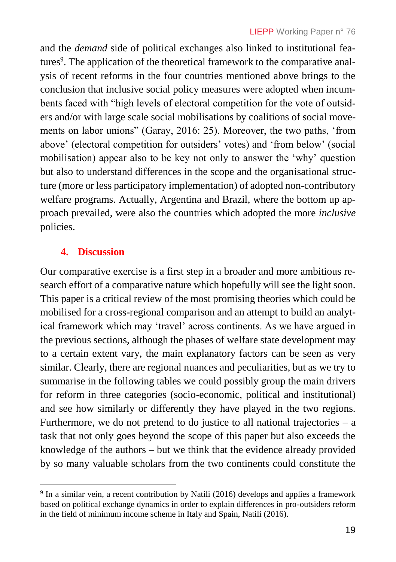and the *demand* side of political exchanges also linked to institutional features<sup>9</sup>. The application of the theoretical framework to the comparative analysis of recent reforms in the four countries mentioned above brings to the conclusion that inclusive social policy measures were adopted when incumbents faced with "high levels of electoral competition for the vote of outsiders and/or with large scale social mobilisations by coalitions of social movements on labor unions" (Garay, 2016: 25). Moreover, the two paths, 'from above' (electoral competition for outsiders' votes) and 'from below' (social mobilisation) appear also to be key not only to answer the 'why' question but also to understand differences in the scope and the organisational structure (more or less participatory implementation) of adopted non-contributory welfare programs. Actually, Argentina and Brazil, where the bottom up approach prevailed, were also the countries which adopted the more *inclusive* policies.

## **4. Discussion**

Our comparative exercise is a first step in a broader and more ambitious research effort of a comparative nature which hopefully will see the light soon. This paper is a critical review of the most promising theories which could be mobilised for a cross-regional comparison and an attempt to build an analytical framework which may 'travel' across continents. As we have argued in the previous sections, although the phases of welfare state development may to a certain extent vary, the main explanatory factors can be seen as very similar. Clearly, there are regional nuances and peculiarities, but as we try to summarise in the following tables we could possibly group the main drivers for reform in three categories (socio-economic, political and institutional) and see how similarly or differently they have played in the two regions. Furthermore, we do not pretend to do justice to all national trajectories  $-$  a task that not only goes beyond the scope of this paper but also exceeds the knowledge of the authors – but we think that the evidence already provided by so many valuable scholars from the two continents could constitute the

 $\overline{a}$ <sup>9</sup> In a similar vein, a recent contribution by Natili (2016) develops and applies a framework based on political exchange dynamics in order to explain differences in pro-outsiders reform in the field of minimum income scheme in Italy and Spain, Natili (2016).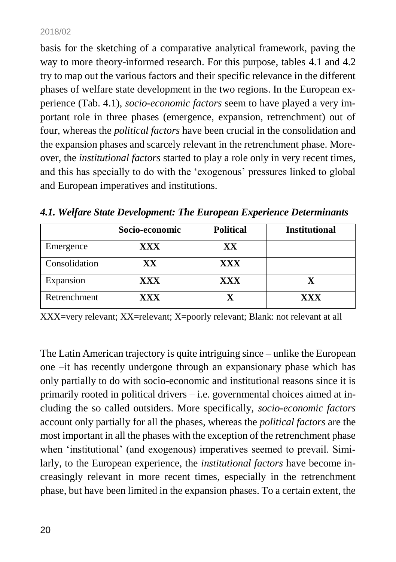basis for the sketching of a comparative analytical framework, paving the way to more theory-informed research. For this purpose, tables 4.1 and 4.2 try to map out the various factors and their specific relevance in the different phases of welfare state development in the two regions. In the European experience (Tab. 4.1), *socio-economic factors* seem to have played a very important role in three phases (emergence, expansion, retrenchment) out of four, whereas the *political factors* have been crucial in the consolidation and the expansion phases and scarcely relevant in the retrenchment phase. Moreover, the *institutional factors* started to play a role only in very recent times, and this has specially to do with the 'exogenous' pressures linked to global and European imperatives and institutions.

|               | Socio-economic | <b>Political</b> | <b>Institutional</b> |
|---------------|----------------|------------------|----------------------|
| Emergence     | <b>XXX</b>     | XX               |                      |
| Consolidation | XX             | <b>XXX</b>       |                      |
| Expansion     | <b>XXX</b>     | XXX              |                      |
| Retrenchment  | XXX            |                  | XXX                  |

*4.1. Welfare State Development: The European Experience Determinants*

XXX=very relevant; XX=relevant; X=poorly relevant; Blank: not relevant at all

The Latin American trajectory is quite intriguing since – unlike the European one –it has recently undergone through an expansionary phase which has only partially to do with socio-economic and institutional reasons since it is primarily rooted in political drivers – i.e. governmental choices aimed at including the so called outsiders. More specifically, *socio-economic factors* account only partially for all the phases, whereas the *political factors* are the most important in all the phases with the exception of the retrenchment phase when 'institutional' (and exogenous) imperatives seemed to prevail. Similarly, to the European experience, the *institutional factors* have become increasingly relevant in more recent times, especially in the retrenchment phase, but have been limited in the expansion phases. To a certain extent, the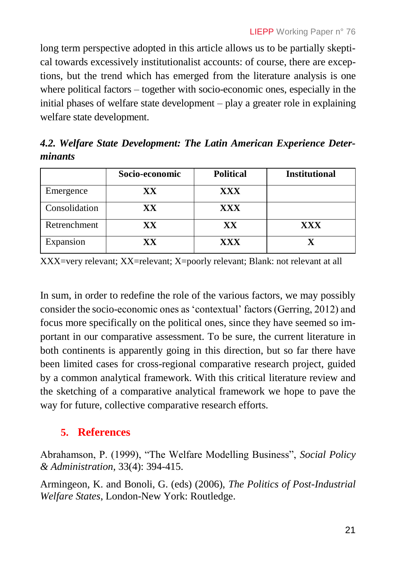long term perspective adopted in this article allows us to be partially skeptical towards excessively institutionalist accounts: of course, there are exceptions, but the trend which has emerged from the literature analysis is one where political factors – together with socio-economic ones, especially in the initial phases of welfare state development – play a greater role in explaining welfare state development.

*4.2. Welfare State Development: The Latin American Experience Determinants*

|               | Socio-economic | <b>Political</b> | <b>Institutional</b> |
|---------------|----------------|------------------|----------------------|
| Emergence     | XХ             | XXX              |                      |
| Consolidation | XX             | <b>XXX</b>       |                      |
| Retrenchment  | XХ             | XX               | <b>XXX</b>           |
| Expansion     | XХ             | XXX              |                      |

XXX=very relevant; XX=relevant; X=poorly relevant; Blank: not relevant at all

In sum, in order to redefine the role of the various factors, we may possibly consider the socio-economic ones as 'contextual' factors (Gerring, 2012) and focus more specifically on the political ones, since they have seemed so important in our comparative assessment. To be sure, the current literature in both continents is apparently going in this direction, but so far there have been limited cases for cross-regional comparative research project, guided by a common analytical framework. With this critical literature review and the sketching of a comparative analytical framework we hope to pave the way for future, collective comparative research efforts.

## **5. References**

Abrahamson, P. (1999), "The Welfare Modelling Business", *Social Policy & Administration*, 33(4): 394-415.

Armingeon, K. and Bonoli, G. (eds) (2006), *The Politics of Post-Industrial Welfare States*, London-New York: Routledge.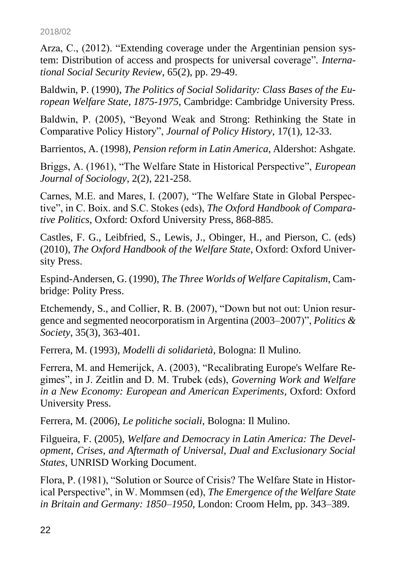Arza, C., (2012). "Extending coverage under the Argentinian pension system: Distribution of access and prospects for universal coverage"*. International Social Security Review*, 65(2), pp. 29-49.

Baldwin, P. (1990), *The Politics of Social Solidarity: Class Bases of the European Welfare State, 1875-1975*, Cambridge: Cambridge University Press.

Baldwin, P. (2005), "Beyond Weak and Strong: Rethinking the State in Comparative Policy History", *Journal of Policy History*, 17(1), 12-33.

Barrientos, A. (1998), *Pension reform in Latin America*, Aldershot: Ashgate.

Briggs, A. (1961), "The Welfare State in Historical Perspective", *European Journal of Sociology*, 2(2), 221-258.

Carnes, M.E. and Mares, I. (2007), "The Welfare State in Global Perspective", in C. Boix. and S.C. Stokes (eds), *The Oxford Handbook of Comparative Politics*, Oxford: Oxford University Press, 868-885.

Castles, F. G., Leibfried, S., Lewis, J., Obinger, H., and Pierson, C. (eds) (2010), *The Oxford Handbook of the Welfare State*, Oxford: Oxford University Press.

Espind-Andersen, G. (1990), *The Three Worlds of Welfare Capitalism*, Cambridge: Polity Press.

Etchemendy, S., and Collier, R. B. (2007), "Down but not out: Union resurgence and segmented neocorporatism in Argentina (2003–2007)", *Politics & Society*, 35(3), 363-401.

Ferrera, M. (1993), *Modelli di solidarietà*, Bologna: Il Mulino.

Ferrera, M. and Hemerijck, A. (2003), "Recalibrating Europe's Welfare Regimes", in J. Zeitlin and D. M. Trubek (eds), *Governing Work and Welfare in a New Economy: European and American Experiments*, Oxford: Oxford University Press.

Ferrera, M. (2006), *Le politiche sociali*, Bologna: Il Mulino.

Filgueira, F. (2005), *Welfare and Democracy in Latin America: The Development, Crises, and Aftermath of Universal, Dual and Exclusionary Social States*, UNRISD Working Document.

Flora, P. (1981), "Solution or Source of Crisis? The Welfare State in Historical Perspective", in W. Mommsen (ed), *The Emergence of the Welfare State in Britain and Germany: 1850–1950*, London: Croom Helm, pp. 343–389.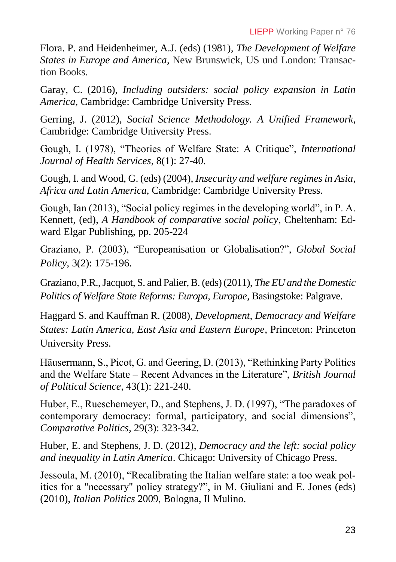Flora. P. and Heidenheimer, A.J. (eds) (1981), *The Development of Welfare States in Europe and America*, New Brunswick, US und London: Transaction Books.

Garay, C. (2016), *Including outsiders: social policy expansion in Latin America*, Cambridge: Cambridge University Press.

Gerring, J. (2012), *Social Science Methodology. A Unified Framework*, Cambridge: Cambridge University Press.

Gough, I. (1978), "Theories of Welfare State: A Critique", *International Journal of Health Services*, 8(1): 27-40.

Gough, I. and Wood, G. (eds) (2004), *Insecurity and welfare regimes in Asia, Africa and Latin America*, Cambridge: Cambridge University Press.

Gough, Ian (2013), "Social policy regimes in the developing world", in P. A. Kennett, (ed), *A Handbook of comparative social policy*, Cheltenham: Edward Elgar Publishing, pp. 205-224

Graziano, P. (2003), "Europeanisation or Globalisation?", *Global Social Policy*, 3(2): 175-196.

Graziano, P.R., Jacquot, S. and Palier, B. (eds) (2011), *The EU and the Domestic Politics of Welfare State Reforms: Europa, Europae*, Basingstoke: Palgrave.

Haggard S. and Kauffman R. (2008), *Development, Democracy and Welfare States: Latin America, East Asia and Eastern Europe*, Princeton: Princeton University Press.

Häusermann, S., Picot, G. and Geering, D. (2013), "Rethinking Party Politics and the Welfare State – Recent Advances in the Literature", *British Journal of Political Science*, 43(1): 221-240.

Huber, E., Rueschemeyer, D., and Stephens, J. D. (1997), "The paradoxes of contemporary democracy: formal, participatory, and social dimensions", *Comparative Politics*, 29(3): 323-342.

Huber, E. and Stephens, J. D. (2012), *Democracy and the left: social policy and inequality in Latin America*. Chicago: University of Chicago Press.

Jessoula, M. (2010), "Recalibrating the Italian welfare state: a too weak politics for a "necessary" policy strategy?", in M. Giuliani and E. Jones (eds) (2010), *Italian Politics* 2009, Bologna, Il Mulino.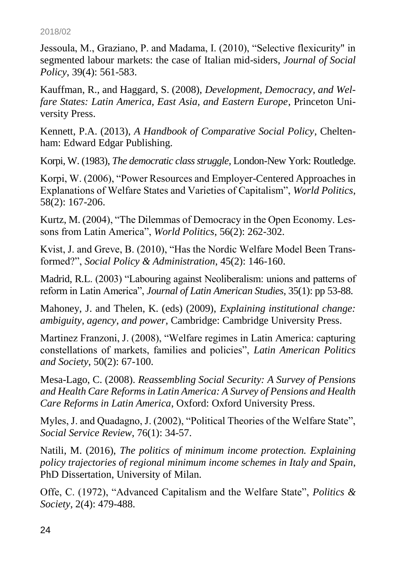Jessoula, M., Graziano, P. and Madama, I. (2010), "Selective flexicurity" in segmented labour markets: the case of Italian mid-siders, *Journal of Social Policy*, 39(4): 561-583.

Kauffman, R., and Haggard, S. (2008), *Development, Democracy, and Welfare States: Latin America, East Asia, and Eastern Europe*, Princeton University Press.

Kennett, P.A. (2013), *A Handbook of Comparative Social Policy*, Cheltenham: Edward Edgar Publishing.

Korpi, W. (1983), *The democratic class struggle,* London-New York: Routledge.

Korpi, W. (2006), "Power Resources and Employer-Centered Approaches in Explanations of Welfare States and Varieties of Capitalism", *World Politics*, 58(2): 167-206.

Kurtz, M. (2004), "The Dilemmas of Democracy in the Open Economy. Lessons from Latin America", *World Politics*, 56(2): 262-302.

Kvist, J. and Greve, B. (2010), "Has the Nordic Welfare Model Been Transformed?", *Social Policy & Administration*, 45(2): 146-160.

Madrid, R.L. (2003) "Labouring against Neoliberalism: unions and patterns of reform in Latin America", *Journal of Latin American Studies*, 35(1): pp 53-88.

Mahoney, J. and Thelen, K. (eds) (2009), *Explaining institutional change: ambiguity, agency, and power*, Cambridge: Cambridge University Press.

Martinez Franzoni, J. (2008), "Welfare regimes in Latin America: capturing constellations of markets, families and policies", *Latin American Politics and Society*, 50(2): 67-100.

Mesa-Lago, C. (2008). *Reassembling Social Security: A Survey of Pensions and Health Care Reforms in Latin America: A Survey of Pensions and Health Care Reforms in Latin America*, Oxford: Oxford University Press.

Myles, J. and Quadagno, J. (2002), "Political Theories of the Welfare State", *Social Service Review*, 76(1): 34-57.

Natili, M. (2016), *The politics of minimum income protection. Explaining policy trajectories of regional minimum income schemes in Italy and Spain*, PhD Dissertation, University of Milan.

Offe, C. (1972), "Advanced Capitalism and the Welfare State", *Politics & Society*, 2(4): 479-488.